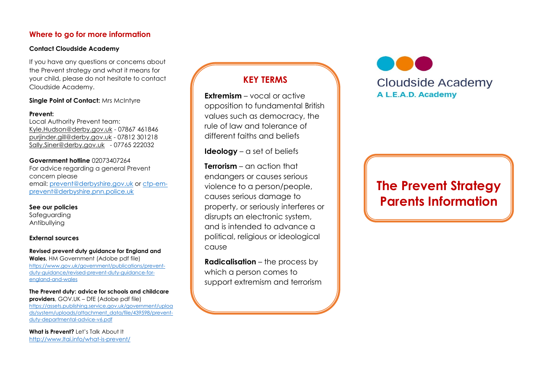#### **Where to go for more information**

#### **Contact Cloudside Academy**

If you have any questions or concerns about the Prevent strategy and what it means for your child, please do not hesitate to contact Cloudside Academy.

#### **Single Point of Contact:** Mrs McIntyre

#### **Prevent:**

Local Authority Prevent team: [Kyle.Hudson@derby.gov.uk](mailto:Kyle.Hudson@derby.ov.uk) - 07867 461846 [purjinder.gill@derby.gov.uk](mailto:purjinder.gill@derby.gov.uk) - 07812 301218 [Sally.Siner@derby.gov.uk](mailto:Sally.Siner@derby.gov.uk) - 07765 222032

**Government hotline** 02073407264 For advice regarding a general Prevent concern please email: [prevent@derbyshire.gov.uk](mailto:prevent@derbyshire.gov.uk) or [ctp-em](mailto:ctp-em-prevent@derbyshire.pnn.police.uk)[prevent@derbyshire.pnn.police.uk](mailto:ctp-em-prevent@derbyshire.pnn.police.uk)

#### **See our policies**

Safeguarding Antibullying

#### **External sources**

**Revised prevent duty guidance for England and Wales**, HM Government (Adobe pdf file) [https://www.gov.uk/government/publications/prevent](https://www.gov.uk/government/publications/prevent-duty-guidance/revised-prevent-duty-guidance-for-england-and-wales)[duty-guidance/revised-prevent-duty-guidance-for](https://www.gov.uk/government/publications/prevent-duty-guidance/revised-prevent-duty-guidance-for-england-and-wales)[england-and-wales](https://www.gov.uk/government/publications/prevent-duty-guidance/revised-prevent-duty-guidance-for-england-and-wales) 

**The Prevent duty: advice for schools and childcare providers**, GOV.UK – DfE (Adobe pdf file) [https://assets.publishing.service.gov.uk/government/uploa](https://assets.publishing.service.gov.uk/government/uploads/system/uploads/attachment_data/file/439598/prevent-duty-departmental-advice-v6.pdf)

[ds/system/uploads/attachment\\_data/file/439598/prevent](https://assets.publishing.service.gov.uk/government/uploads/system/uploads/attachment_data/file/439598/prevent-duty-departmental-advice-v6.pdf)[duty-departmental-advice-v6.pdf](https://assets.publishing.service.gov.uk/government/uploads/system/uploads/attachment_data/file/439598/prevent-duty-departmental-advice-v6.pdf)

**What is Prevent?** Let's Talk About It <http://www.ltai.info/what-is-prevent/>

## **KEY TERMS**

**Extremism** – vocal or active opposition to fundamental British values such as democracy, the rule of law and tolerance of different faiths and beliefs

**Ideology** – a set of beliefs

**Terrorism** – an action that endangers or causes serious violence to a person/people, causes serious damage to property, or seriously interferes or disrupts an electronic system, and is intended to advance a political, religious or ideological cause

**Radicalisation** – the process by which a person comes to support extremism and terrorism **Cloudside Academy** A L.E.A.D. Academy

# **The Prevent Strategy Parents Information**